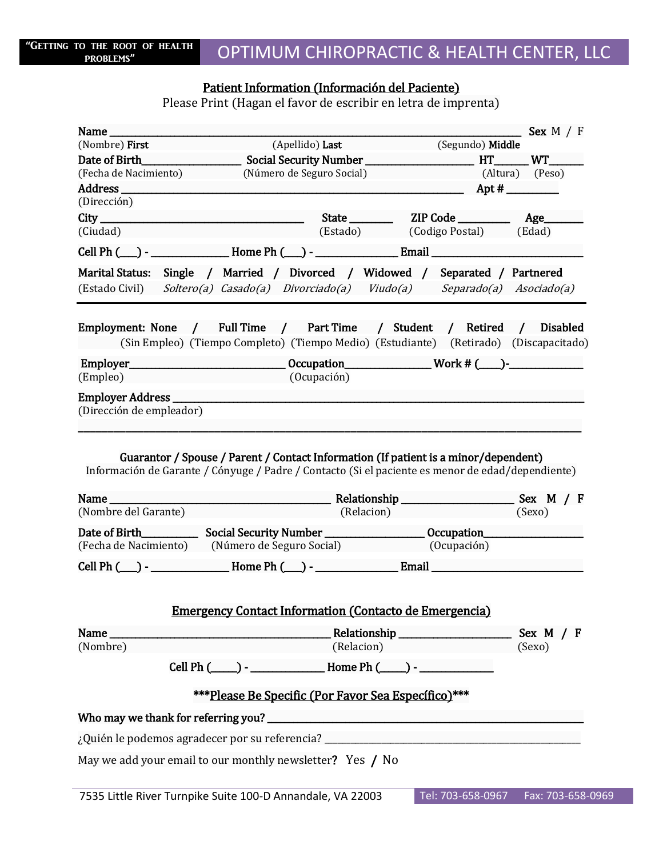## Patient Information (Información del Paciente)

Please Print (Hagan el favor de escribir en letra de imprenta)

| Name $\frac{1}{2}$                             |                                                                                                                                                                                          |                                                                                                                                                                                                                               | Sex $M / F$           |
|------------------------------------------------|------------------------------------------------------------------------------------------------------------------------------------------------------------------------------------------|-------------------------------------------------------------------------------------------------------------------------------------------------------------------------------------------------------------------------------|-----------------------|
| (Nombre) <b>First</b>                          | (Apellido) Last                                                                                                                                                                          | (Segundo) Middle                                                                                                                                                                                                              |                       |
| Date of Birth                                  |                                                                                                                                                                                          |                                                                                                                                                                                                                               |                       |
| (Fecha de Nacimiento)                          | (Número de Seguro Social)                                                                                                                                                                |                                                                                                                                                                                                                               | (Altura) (Peso)       |
| Address ___________<br>(Dirección)             |                                                                                                                                                                                          | $\overline{\phantom{0}}$ Apt #                                                                                                                                                                                                |                       |
|                                                |                                                                                                                                                                                          |                                                                                                                                                                                                                               |                       |
| (Ciudad)                                       |                                                                                                                                                                                          | (Estado) (Codigo Postal) (Edad)                                                                                                                                                                                               |                       |
|                                                |                                                                                                                                                                                          |                                                                                                                                                                                                                               |                       |
| (Estado Civil)                                 | Marital Status: Single / Married / Divorced / Widowed / Separated / Partnered<br>Soltero(a) Casado(a) Divorciado(a) Viudo(a) Separado(a) Asociado(a)                                     |                                                                                                                                                                                                                               |                       |
|                                                | Employment: None / Full Time / Part Time / Student / Retired / Disabled<br>(Sin Empleo) (Tiempo Completo) (Tiempo Medio) (Estudiante) (Retirado) (Discapacitado)                         |                                                                                                                                                                                                                               |                       |
| (Empleo)                                       | (Ocupación)                                                                                                                                                                              |                                                                                                                                                                                                                               |                       |
| Employer Address _<br>(Dirección de empleador) |                                                                                                                                                                                          |                                                                                                                                                                                                                               |                       |
|                                                | Guarantor / Spouse / Parent / Contact Information (If patient is a minor/dependent)<br>Información de Garante / Cónyuge / Padre / Contacto (Si el paciente es menor de edad/dependiente) |                                                                                                                                                                                                                               |                       |
| Name                                           |                                                                                                                                                                                          |                                                                                                                                                                                                                               |                       |
| (Nombre del Garante)                           | (Relacion)                                                                                                                                                                               |                                                                                                                                                                                                                               | (Sexo)                |
|                                                | (Fecha de Nacimiento) (Número de Seguro Social)                                                                                                                                          | (Ocupación)                                                                                                                                                                                                                   |                       |
|                                                | Cell Ph (___) - __________________Home Ph (___) - ____________________Email ________________________                                                                                     |                                                                                                                                                                                                                               |                       |
| (Nombre)                                       | <b>Emergency Contact Information (Contacto de Emergencia)</b>                                                                                                                            | (Relacion) and the control of the control of the control of the control of the control of the control of the control of the control of the control of the control of the control of the control of the control of the control | Sex $M / F$<br>(Sexo) |
|                                                |                                                                                                                                                                                          |                                                                                                                                                                                                                               |                       |
|                                                | *** Please Be Specific (Por Favor Sea Específico) ***                                                                                                                                    |                                                                                                                                                                                                                               |                       |
|                                                |                                                                                                                                                                                          |                                                                                                                                                                                                                               |                       |
|                                                |                                                                                                                                                                                          |                                                                                                                                                                                                                               |                       |
|                                                | May we add your email to our monthly newsletter? Yes / No                                                                                                                                |                                                                                                                                                                                                                               |                       |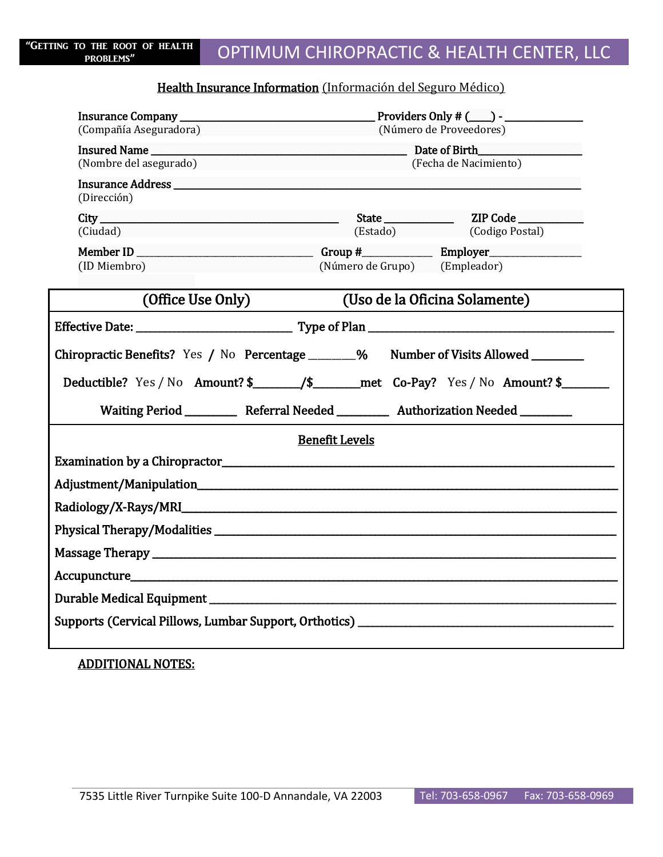### Health Insurance Information (Información del Seguro Médico)

| (Compañía Aseguradora) (Número de Proveedores)                                                                                                                                                                                 |                                                                                                        |  |  |  |
|--------------------------------------------------------------------------------------------------------------------------------------------------------------------------------------------------------------------------------|--------------------------------------------------------------------------------------------------------|--|--|--|
|                                                                                                                                                                                                                                | Insured Name<br>(Nombre del asegurado) Bate of Birth Background (Fecha de Nacimiento)                  |  |  |  |
| (Dirección)                                                                                                                                                                                                                    |                                                                                                        |  |  |  |
| (Ciudad) and the contract of the contract of the contract of the contract of the contract of the contract of the contract of the contract of the contract of the contract of the contract of the contract of the contract of t | State ZIP Code<br>(Estado) (Codigo Postal)                                                             |  |  |  |
| (ID Miembro)                                                                                                                                                                                                                   | (Número de Grupo) (Empleador)                                                                          |  |  |  |
| (Office Use Only)                                                                                                                                                                                                              | (Uso de la Oficina Solamente)                                                                          |  |  |  |
|                                                                                                                                                                                                                                |                                                                                                        |  |  |  |
|                                                                                                                                                                                                                                | Chiropractic Benefits? Yes / No Percentage ________% Number of Visits Allowed ________                 |  |  |  |
|                                                                                                                                                                                                                                | Deductible? Yes / No Amount? \$____________/\$_________met Co-Pay? Yes / No Amount? \$________________ |  |  |  |
|                                                                                                                                                                                                                                | Waiting Period ____________ Referral Needed ____________ Authorization Needed _________                |  |  |  |
|                                                                                                                                                                                                                                | <b>Benefit Levels</b>                                                                                  |  |  |  |
|                                                                                                                                                                                                                                |                                                                                                        |  |  |  |
|                                                                                                                                                                                                                                |                                                                                                        |  |  |  |
|                                                                                                                                                                                                                                |                                                                                                        |  |  |  |
|                                                                                                                                                                                                                                |                                                                                                        |  |  |  |
|                                                                                                                                                                                                                                |                                                                                                        |  |  |  |
|                                                                                                                                                                                                                                |                                                                                                        |  |  |  |
|                                                                                                                                                                                                                                |                                                                                                        |  |  |  |
|                                                                                                                                                                                                                                |                                                                                                        |  |  |  |

ADDITIONAL NOTES: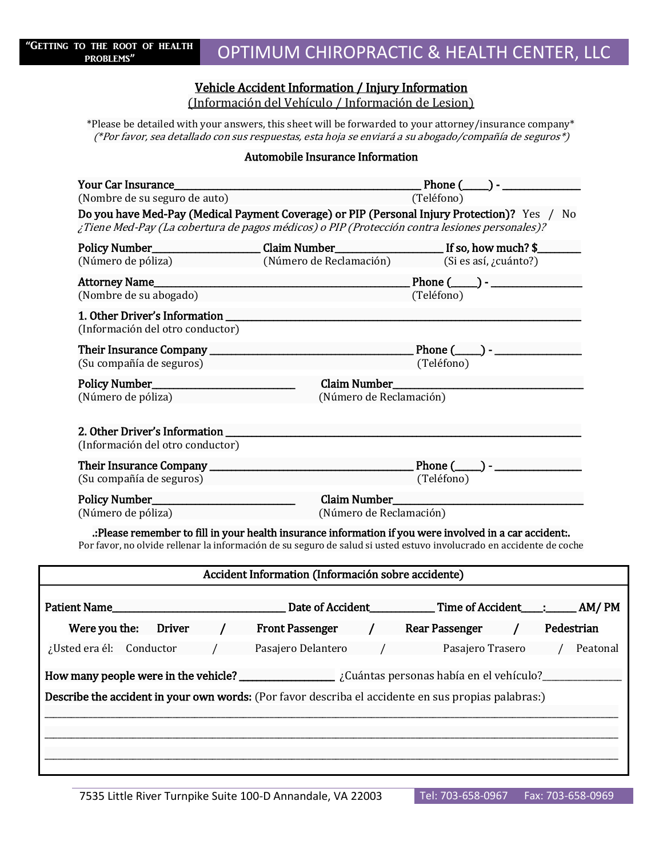### Vehicle Accident Information / Injury Information

(Información del Vehículo / Información de Lesion)

\*Please be detailed with your answers, this sheet will be forwarded to your attorney/insurance company\* (\*Por favor, sea detallado con sus respuestas, esta hoja se enviará a su abogado/compañía de seguros\*)

### Automobile Insurance Information

| Your Car Insurance                                                                                  | Phone $(\_\_)$ - $\_\_$                                                                       |                                                                                                                      |  |  |
|-----------------------------------------------------------------------------------------------------|-----------------------------------------------------------------------------------------------|----------------------------------------------------------------------------------------------------------------------|--|--|
| (Nombre de su seguro de auto)                                                                       | (Teléfono)                                                                                    |                                                                                                                      |  |  |
|                                                                                                     |                                                                                               | Do you have Med-Pay (Medical Payment Coverage) or PIP (Personal Injury Protection)? Yes / No                         |  |  |
|                                                                                                     | ¿Tiene Med-Pay (La cobertura de pagos médicos) o PIP (Protección contra lesiones personales)? |                                                                                                                      |  |  |
| Policy Number_                                                                                      |                                                                                               | If so, how much? \$                                                                                                  |  |  |
| (Número de póliza)                                                                                  | (Número de Reclamación)                                                                       | (Si es así, ¿cuánto?)                                                                                                |  |  |
| <b>Attorney Name_</b>                                                                               |                                                                                               | Phone (_____) - _________                                                                                            |  |  |
| (Nombre de su abogado)                                                                              |                                                                                               | (Teléfono)                                                                                                           |  |  |
| (Información del otro conductor)                                                                    |                                                                                               |                                                                                                                      |  |  |
|                                                                                                     |                                                                                               |                                                                                                                      |  |  |
| (Su compañía de seguros)                                                                            |                                                                                               | (Teléfono)                                                                                                           |  |  |
|                                                                                                     |                                                                                               |                                                                                                                      |  |  |
| (Número de póliza)                                                                                  | (Número de Reclamación)                                                                       |                                                                                                                      |  |  |
|                                                                                                     |                                                                                               |                                                                                                                      |  |  |
|                                                                                                     |                                                                                               |                                                                                                                      |  |  |
| (Información del otro conductor)                                                                    |                                                                                               |                                                                                                                      |  |  |
|                                                                                                     |                                                                                               | Phone $(\_\_)$ - $\_\_$                                                                                              |  |  |
| (Su compañía de seguros)                                                                            |                                                                                               | (Teléfono)                                                                                                           |  |  |
|                                                                                                     |                                                                                               |                                                                                                                      |  |  |
| (Número de póliza)                                                                                  | (Número de Reclamación)                                                                       |                                                                                                                      |  |  |
|                                                                                                     |                                                                                               |                                                                                                                      |  |  |
|                                                                                                     |                                                                                               | .: Please remember to fill in your health insurance information if you were involved in a car accident:.             |  |  |
|                                                                                                     |                                                                                               | Por favor, no olvide rellenar la información de su seguro de salud si usted estuvo involucrado en accidente de coche |  |  |
|                                                                                                     | Accident Information (Información sobre accidente)                                            |                                                                                                                      |  |  |
|                                                                                                     |                                                                                               |                                                                                                                      |  |  |
| Patient Name                                                                                        | Date of Accident                                                                              | <b>Time of Accident</b><br>AM/PM                                                                                     |  |  |
| <b>Driver</b><br>Were you the:                                                                      | <b>Front Passenger</b>                                                                        | <b>Rear Passenger</b><br>Pedestrian                                                                                  |  |  |
|                                                                                                     |                                                                                               |                                                                                                                      |  |  |
| ¿Usted era él: Conductor                                                                            | Pasajero Delantero                                                                            | Pasajero Trasero<br>Peatonal                                                                                         |  |  |
|                                                                                                     |                                                                                               |                                                                                                                      |  |  |
| Describe the accident in your own words: (Por favor describa el accidente en sus propias palabras:) |                                                                                               |                                                                                                                      |  |  |
|                                                                                                     |                                                                                               |                                                                                                                      |  |  |
|                                                                                                     |                                                                                               |                                                                                                                      |  |  |
|                                                                                                     |                                                                                               |                                                                                                                      |  |  |
|                                                                                                     |                                                                                               |                                                                                                                      |  |  |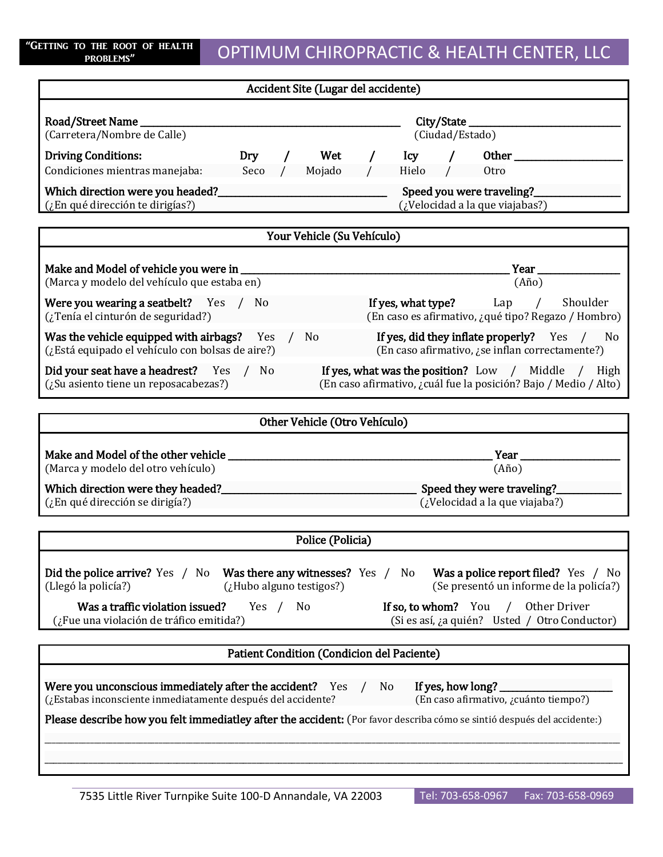## OPTIMUM CHIROPRACTIC & HEALTH CENTER, LLC

| PROBLEMS                                                                                                             |                                                                                                                        |  |  |
|----------------------------------------------------------------------------------------------------------------------|------------------------------------------------------------------------------------------------------------------------|--|--|
| Accident Site (Lugar del accidente)                                                                                  |                                                                                                                        |  |  |
| Road/Street Name<br>(Carretera/Nombre de Calle)                                                                      | City/State<br>(Ciudad/Estado)                                                                                          |  |  |
| <b>Driving Conditions:</b>                                                                                           |                                                                                                                        |  |  |
| Condiciones mientras manejaba: Seco /<br>Mojado                                                                      | Hielo / Otro<br>$\sqrt{2}$                                                                                             |  |  |
| (¿En qué dirección te dirigías?)                                                                                     | Speed you were traveling?<br>(¿Velocidad a la que viajabas?)                                                           |  |  |
| Your Vehicle (Su Vehículo)                                                                                           |                                                                                                                        |  |  |
| (Marca y modelo del vehículo que estaba en)                                                                          | Year_<br>$(A\tilde{n}o)$                                                                                               |  |  |
| Were you wearing a seatbelt? Yes / No<br>(¿Tenía el cinturón de seguridad?)                                          | <b>If yes, what type?</b> Lap / Shoulder<br>(En caso es afirmativo, ¿qué tipo? Regazo / Hombro)                        |  |  |
| <b>Was the vehicle equipped with airbags?</b> Yes / No<br>(¿Está equipado el vehículo con bolsas de aire?)           | If yes, did they inflate properly? Yes / No<br>(En caso afirmativo, ¿se inflan correctamente?)                         |  |  |
| Did your seat have a headrest? Yes / No<br>$(z$ Su asiento tiene un reposacabezas?)                                  | If yes, what was the position? Low / Middle / High<br>(En caso afirmativo, ¿cuál fue la posición? Bajo / Medio / Alto) |  |  |
| Other Vehicle (Otro Vehículo)                                                                                        |                                                                                                                        |  |  |
| (Marca y modelo del otro vehículo)                                                                                   | Year ____<br>$(A\tilde{n}o)$                                                                                           |  |  |
| (¿En qué dirección se dirigía?)                                                                                      | (¿Velocidad a la que viajaba?)                                                                                         |  |  |
| Police (Policia)                                                                                                     |                                                                                                                        |  |  |
| Did the police arrive? Yes / No<br>Was there any witnesses? Yes /<br>(Llegó la policía?)<br>(¿Hubo alguno testigos?) | Was a police report filed? Yes / No<br>No<br>(Se presentó un informe de la policía?)                                   |  |  |
| Was a traffic violation issued?<br>Yes<br>N <sub>0</sub><br>$\prime$<br>(¿Fue una violación de tráfico emitida?)     | If so, to whom? You<br>Other Driver<br>$\sqrt{2}$<br>(Si es así, ¿a quién? Usted / Otro Conductor)                     |  |  |

Were you unconscious immediately after the accident? Yes / No If yes, how long? (¿Estabas inconsciente inmediatamente después del accidente? (En caso afirmativo, ¿cuánto tiempo?)

Please describe how you felt immediatley after the accident: (Por favor describa cómo se sintió después del accidente:)

\_\_\_\_\_\_\_\_\_\_\_\_\_\_\_\_\_\_\_\_\_\_\_\_\_\_\_\_\_\_\_\_\_\_\_\_\_\_\_\_\_\_\_\_\_\_\_\_\_\_\_\_\_\_\_\_\_\_\_\_\_\_\_\_\_\_\_\_\_\_\_\_\_\_\_\_\_\_\_\_\_\_\_\_\_\_\_\_\_\_\_\_\_\_\_\_\_\_\_\_\_\_\_\_\_\_\_\_\_\_\_\_\_\_\_\_\_\_\_\_\_\_\_\_\_\_\_\_\_\_\_\_\_\_\_\_\_\_\_\_\_\_\_\_\_\_\_\_\_\_\_ \_\_\_\_\_\_\_\_\_\_\_\_\_\_\_\_\_\_\_\_\_\_\_\_\_\_\_\_\_\_\_\_\_\_\_\_\_\_\_\_\_\_\_\_\_\_\_\_\_\_\_\_\_\_\_\_\_\_\_\_\_\_\_\_\_\_\_\_\_\_\_\_\_\_\_\_\_\_\_\_\_\_\_\_\_\_\_\_\_\_\_\_\_\_\_\_\_\_\_\_\_\_\_\_\_\_\_\_\_\_\_\_\_\_\_\_\_\_\_\_\_\_\_\_\_\_\_\_\_\_\_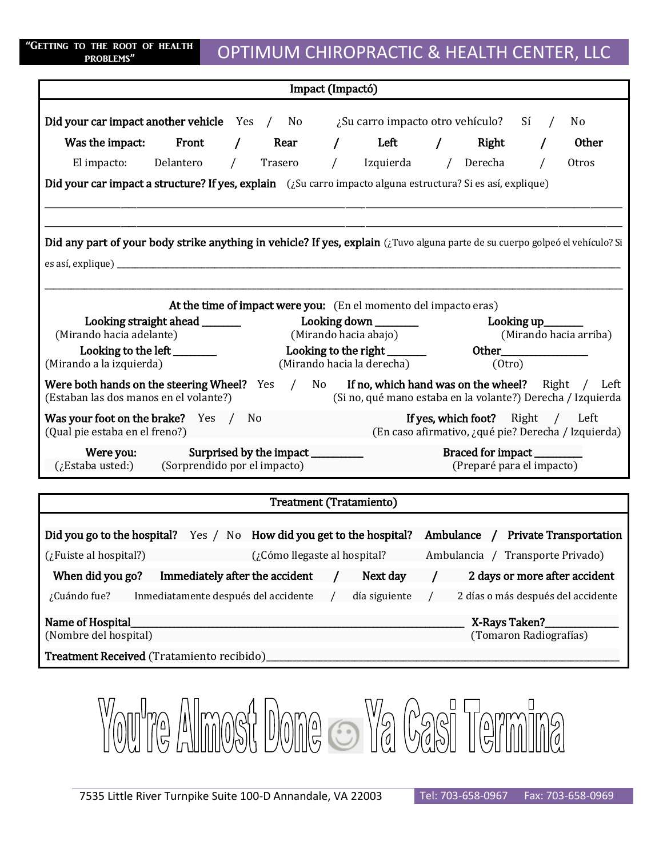| "GETTING TO THE ROOT OF HEALTH |  |           |  |
|--------------------------------|--|-----------|--|
|                                |  | PROBLEMS" |  |

## OPTIMUM CHIROPRACTIC & HEALTH CENTER, LLC

| Impact (Impactó)                                                                                                              |                                                                   |                                |  |                                                                                                                    |            |                                                      |            |                                                     |
|-------------------------------------------------------------------------------------------------------------------------------|-------------------------------------------------------------------|--------------------------------|--|--------------------------------------------------------------------------------------------------------------------|------------|------------------------------------------------------|------------|-----------------------------------------------------|
| Did your car impact another vehicle Yes / No                                                                                  |                                                                   |                                |  | ¿Su carro impacto otro vehículo?                                                                                   |            |                                                      | Sí         | No                                                  |
| Was the impact: Front                                                                                                         |                                                                   | Rear                           |  | / Left                                                                                                             | $\sqrt{2}$ | Right                                                |            | Other                                               |
| El impacto: Delantero                                                                                                         | $\sqrt{2}$                                                        | Trasero                        |  | / Izquierda / Derecha                                                                                              |            |                                                      | $\sqrt{ }$ | Otros                                               |
| Did your car impact a structure? If yes, explain (¿Su carro impacto alguna estructura? Si es así, explique)                   |                                                                   |                                |  |                                                                                                                    |            |                                                      |            |                                                     |
|                                                                                                                               |                                                                   |                                |  |                                                                                                                    |            |                                                      |            |                                                     |
|                                                                                                                               |                                                                   |                                |  |                                                                                                                    |            |                                                      |            |                                                     |
| Did any part of your body strike anything in vehicle? If yes, explain (¿Tuvo alguna parte de su cuerpo golpeó el vehículo? Si |                                                                   |                                |  |                                                                                                                    |            |                                                      |            |                                                     |
|                                                                                                                               |                                                                   |                                |  |                                                                                                                    |            |                                                      |            |                                                     |
|                                                                                                                               |                                                                   |                                |  |                                                                                                                    |            |                                                      |            |                                                     |
|                                                                                                                               |                                                                   |                                |  | At the time of impact were you: (En el momento del impacto eras)                                                   |            |                                                      |            |                                                     |
| (Mirando hacia adelante)                                                                                                      |                                                                   |                                |  | (Mirando hacia abajo)                                                                                              |            | <b>Looking up_</b>                                   |            | (Mirando hacia arriba)                              |
| Looking to the left ________                                                                                                  |                                                                   |                                |  | Looking to the right _______                                                                                       |            |                                                      |            |                                                     |
| (Mirando a la izquierda)                                                                                                      |                                                                   |                                |  | (Mirando hacia la derecha)                                                                                         |            | (0 <sup>tr</sup> o)                                  |            |                                                     |
| Were both hands on the steering Wheel? Yes /<br>(Estaban las dos manos en el volante?)                                        |                                                                   |                                |  | No If no, which hand was on the wheel? Right / Left<br>(Si no, qué mano estaba en la volante?) Derecha / Izquierda |            |                                                      |            |                                                     |
| Was your foot on the brake? Yes / No<br>(Qual pie estaba en el freno?)                                                        |                                                                   |                                |  |                                                                                                                    |            | <b>If yes, which foot?</b> Right / Left              |            | (En caso afirmativo, ¿qué pie? Derecha / Izquierda) |
| Were you:<br>(¿Estaba usted:)                                                                                                 | Surprised by the impact _________<br>(Sorprendido por el impacto) |                                |  |                                                                                                                    |            | Braced for impact______<br>(Preparé para el impacto) |            |                                                     |
|                                                                                                                               |                                                                   |                                |  |                                                                                                                    |            |                                                      |            |                                                     |
|                                                                                                                               |                                                                   | <b>Treatment (Tratamiento)</b> |  |                                                                                                                    |            |                                                      |            |                                                     |
| Did you go to the hospital? Yes / No How did you get to the hospital? Ambulance / Private Transportation                      |                                                                   |                                |  |                                                                                                                    |            |                                                      |            |                                                     |
| (¿Cómo llegaste al hospital?) (¿Cómo llegaste al hospital? Ambulancia / Transporte Privado)                                   |                                                                   |                                |  |                                                                                                                    |            |                                                      |            |                                                     |
| When did you go? Immediately after the accident $/$ Next day $/$ 2 days or more after accident                                |                                                                   |                                |  |                                                                                                                    |            |                                                      |            |                                                     |
| ¿Cuándo fue?<br>Inmediatamente después del accidente                                                                          |                                                                   |                                |  | día siguiente                                                                                                      |            | 2 días o más después del accidente                   |            |                                                     |

Name of Hospital\_\_\_\_\_\_\_\_\_\_\_\_\_\_\_\_\_\_\_\_\_\_\_\_\_\_\_\_\_\_\_\_\_\_\_\_\_\_\_\_\_\_\_\_\_\_\_\_\_\_\_\_\_\_\_\_\_\_\_\_\_\_\_\_\_\_\_\_\_\_\_\_\_\_\_\_\_ X-Rays Taken?\_\_\_\_\_\_\_\_\_\_\_\_\_\_\_\_\_

Treatment Received (Tratamiento recibido)

(Nombre del hospital) (Tomaron Radiografías)

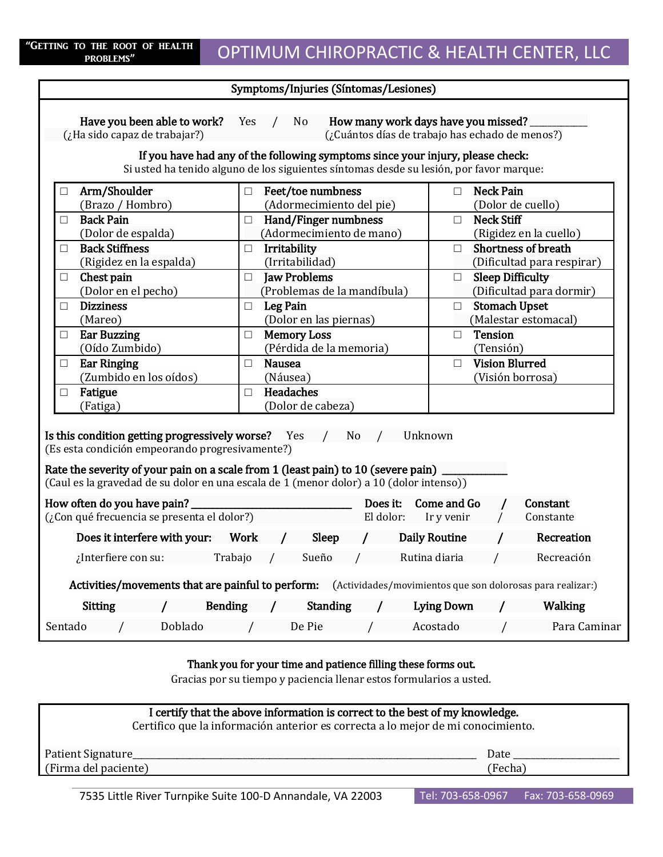| Symptoms/Injuries (Síntomas/Lesiones)                                                                                                                                                                                                                             |                                                                                         |                                                                    |  |  |  |
|-------------------------------------------------------------------------------------------------------------------------------------------------------------------------------------------------------------------------------------------------------------------|-----------------------------------------------------------------------------------------|--------------------------------------------------------------------|--|--|--|
| How many work days have you missed?<br>Have you been able to work?<br>Yes<br>N <sub>o</sub><br>(¿Ha sido capaz de trabajar?)<br>(¿Cuántos días de trabajo has echado de menos?)<br>If you have had any of the following symptoms since your injury, please check: |                                                                                         |                                                                    |  |  |  |
|                                                                                                                                                                                                                                                                   | Si usted ha tenido alguno de los siguientes síntomas desde su lesión, por favor marque: |                                                                    |  |  |  |
| Arm/Shoulder<br>П<br>(Brazo / Hombro)                                                                                                                                                                                                                             | $\Box$ Feet/toe numbness<br>(Adormecimiento del pie)                                    | <b>Neck Pain</b><br>$\Box$<br>(Dolor de cuello)                    |  |  |  |
| <b>Back Pain</b><br>□<br>(Dolor de espalda)                                                                                                                                                                                                                       | Hand/Finger numbness<br>$\Box$<br>(Adormecimiento de mano)                              | <b>Neck Stiff</b><br>$\Box$<br>(Rigidez en la cuello)              |  |  |  |
| <b>Back Stiffness</b><br>П<br>(Rigidez en la espalda)                                                                                                                                                                                                             | Irritability<br>□<br>(Irritabilidad)                                                    | <b>Shortness of breath</b><br>$\Box$<br>(Dificultad para respirar) |  |  |  |
| Chest pain<br>□<br>(Dolor en el pecho)                                                                                                                                                                                                                            | <b>Jaw Problems</b><br>□<br>(Problemas de la mandíbula)                                 | <b>Sleep Difficulty</b><br>$\Box$<br>(Dificultad para dormir)      |  |  |  |
| <b>Dizziness</b><br>П<br>(Mareo)                                                                                                                                                                                                                                  | Leg Pain<br>$\Box$<br>(Dolor en las piernas)                                            | <b>Stomach Upset</b><br>$\Box$<br>(Malestar estomacal)             |  |  |  |
| <b>Ear Buzzing</b><br>$\Box$<br>(Oído Zumbido)                                                                                                                                                                                                                    | <b>Memory Loss</b><br>$\Box$<br>(Pérdida de la memoria)                                 | <b>Tension</b><br>$\Box$<br>(Tensión)                              |  |  |  |
| <b>Ear Ringing</b><br>$\Box$<br>(Zumbido en los oídos)                                                                                                                                                                                                            | <b>Nausea</b><br>П.<br>(Náusea)                                                         | <b>Vision Blurred</b><br>$\Box$<br>(Visión borrosa)                |  |  |  |
| Fatigue<br>□<br>(Fatiga)                                                                                                                                                                                                                                          | <b>Headaches</b><br>П<br>(Dolor de cabeza)                                              |                                                                    |  |  |  |
| Is this condition getting progressively worse? Yes / No<br>Unknown<br>(Es esta condición empeorando progresivamente?)                                                                                                                                             |                                                                                         |                                                                    |  |  |  |
| Rate the severity of your pain on a scale from 1 (least pain) to 10 (severe pain).<br>(Caul es la gravedad de su dolor en una escala de 1 (menor dolor) a 10 (dolor intenso))                                                                                     |                                                                                         |                                                                    |  |  |  |
| How often do you have pain?<br>(¿Con qué frecuencia se presenta el dolor?)                                                                                                                                                                                        | Does it:<br>El dolor:                                                                   | Come and Go<br>Constant<br>Ir y venir<br>Constante                 |  |  |  |
|                                                                                                                                                                                                                                                                   | Sleep                                                                                   | <b>Daily Routine</b><br>Recreation                                 |  |  |  |
| Trabajo<br>$\chi$ Interfiere con su:                                                                                                                                                                                                                              | Sueño                                                                                   | Rutina diaria<br>Recreación                                        |  |  |  |
| Activities/movements that are painful to perform: (Actividades/movimientos que son dolorosas para realizar:)                                                                                                                                                      |                                                                                         |                                                                    |  |  |  |
| <b>Sitting</b><br><b>Bending</b>                                                                                                                                                                                                                                  | <b>Standing</b>                                                                         | <b>Lying Down</b><br><b>Walking</b>                                |  |  |  |
| Sentado<br>Doblado                                                                                                                                                                                                                                                | De Pie<br>$\overline{a}$                                                                | Para Caminar<br>Acostado                                           |  |  |  |

### Thank you for your time and patience filling these forms out.

Gracias por su tiempo y paciencia llenar estos formularios a usted.

| I certify that the above information is correct to the best of my knowledge.<br>Certifico que la información anterior es correcta a lo mejor de mi conocimiento. |         |
|------------------------------------------------------------------------------------------------------------------------------------------------------------------|---------|
| Patient Signature                                                                                                                                                | Date    |
| (Firma del paciente)                                                                                                                                             | (Fecha) |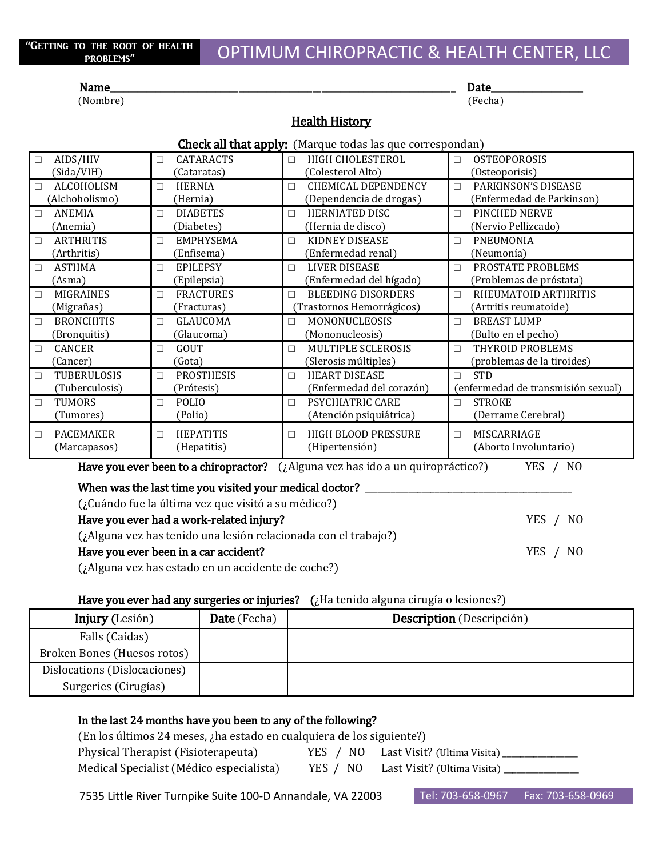#### Name\_\_\_\_\_\_\_\_\_\_\_\_\_\_\_\_\_\_\_\_\_\_\_\_\_\_\_\_\_\_\_\_\_\_\_\_\_\_\_\_\_\_\_\_\_\_\_\_\_\_\_\_\_\_\_\_\_\_\_\_\_\_\_\_\_\_\_\_\_\_\_\_\_\_\_ Date\_\_\_\_\_\_\_\_\_\_\_\_\_\_\_\_\_\_\_\_

(Nombre) (Fecha)

### **Health History**

| <b>Check all that apply:</b> (Marque todas las que correspondan) |  |
|------------------------------------------------------------------|--|
|------------------------------------------------------------------|--|

| AIDS/HIV                                                                                                           | <b>CATARACTS</b>  | HIGH CHOLESTEROL           | <b>OSTEOPOROSIS</b>                |  |  |
|--------------------------------------------------------------------------------------------------------------------|-------------------|----------------------------|------------------------------------|--|--|
| $\Box$                                                                                                             | П                 | $\Box$                     | $\Box$                             |  |  |
| (Sida/VIH)                                                                                                         | (Cataratas)       | (Colesterol Alto)          | (Osteoporisis)                     |  |  |
| ALCOHOLISM                                                                                                         | <b>HERNIA</b>     | <b>CHEMICAL DEPENDENCY</b> | PARKINSON'S DISEASE                |  |  |
| □                                                                                                                  | П                 | П                          | $\Box$                             |  |  |
| (Alchoholismo)                                                                                                     | (Hernia)          | (Dependencia de drogas)    | (Enfermedad de Parkinson)          |  |  |
| ANEMIA                                                                                                             | <b>DIABETES</b>   | <b>HERNIATED DISC</b>      | PINCHED NERVE                      |  |  |
| □                                                                                                                  | П                 | $\Box$                     | $\Box$                             |  |  |
| (Anemia)                                                                                                           | (Diabetes)        | (Hernia de disco)          | (Nervio Pellizcado)                |  |  |
| <b>ARTHRITIS</b>                                                                                                   | <b>EMPHYSEMA</b>  | KIDNEY DISEASE             | <b>PNEUMONIA</b>                   |  |  |
| □                                                                                                                  | П                 | $\Box$                     | $\Box$                             |  |  |
| (Arthritis)                                                                                                        | (Enfisema)        | (Enfermedad renal)         | (Neumonía)                         |  |  |
| <b>ASTHMA</b>                                                                                                      | <b>EPILEPSY</b>   | <b>LIVER DISEASE</b>       | PROSTATE PROBLEMS                  |  |  |
| □                                                                                                                  | П                 | П                          | $\Box$                             |  |  |
| (Asma)                                                                                                             | (Epilepsia)       | (Enfermedad del hígado)    | (Problemas de próstata)            |  |  |
| MIGRAINES                                                                                                          | <b>FRACTURES</b>  | <b>BLEEDING DISORDERS</b>  | RHEUMATOID ARTHRITIS               |  |  |
| □                                                                                                                  | $\Box$            | $\Box$                     | $\Box$                             |  |  |
| (Migrañas)                                                                                                         | (Fracturas)       | (Trastornos Hemorrágicos)  | (Artritis reumatoide)              |  |  |
| <b>BRONCHITIS</b>                                                                                                  | <b>GLAUCOMA</b>   | <b>MONONUCLEOSIS</b>       | <b>BREAST LUMP</b>                 |  |  |
| □                                                                                                                  | П                 | $\Box$                     | $\Box$                             |  |  |
| (Bronquitis)                                                                                                       | (Glaucoma)        | (Mononucleosis)            | (Bulto en el pecho)                |  |  |
| <b>CANCER</b>                                                                                                      | <b>GOUT</b>       | <b>MULTIPLE SCLEROSIS</b>  | THYROID PROBLEMS                   |  |  |
| □                                                                                                                  | П                 | $\Box$                     | $\Box$                             |  |  |
| (Cancer)                                                                                                           | (Gota)            | (Slerosis múltiples)       | (problemas de la tiroides)         |  |  |
| TUBERULOSIS                                                                                                        | <b>PROSTHESIS</b> | <b>HEART DISEASE</b>       | <b>STD</b>                         |  |  |
| П                                                                                                                  | П                 | $\Box$                     | $\Box$                             |  |  |
| (Tuberculosis)                                                                                                     | (Prótesis)        | (Enfermedad del corazón)   | (enfermedad de transmisión sexual) |  |  |
| <b>TUMORS</b>                                                                                                      | <b>POLIO</b>      | <b>PSYCHIATRIC CARE</b>    | <b>STROKE</b>                      |  |  |
| □                                                                                                                  | П                 | $\Box$                     | $\Box$                             |  |  |
| (Tumores)                                                                                                          | (Polio)           | (Atención psiquiátrica)    | (Derrame Cerebral)                 |  |  |
| <b>PACEMAKER</b>                                                                                                   | <b>HEPATITIS</b>  | HIGH BLOOD PRESSURE        | MISCARRIAGE                        |  |  |
| □                                                                                                                  | $\Box$            | $\Box$                     | $\Box$                             |  |  |
| (Marcapasos)                                                                                                       | (Hepatitis)       | (Hipertensión)             | (Aborto Involuntario)              |  |  |
| Have you ever been to a chiropractor?<br>(¿Alguna vez has ido a un quiropráctico?)<br>YES<br>N <sub>0</sub>        |                   |                            |                                    |  |  |
| When was the last time you visited your medical doctor?<br>$($ : Cuándo fue la última vez que visitó a su médico?) |                   |                            |                                    |  |  |

| $(i)$ Cuándo fue la última vez que visitó a su médico?)         |          |
|-----------------------------------------------------------------|----------|
| Have you ever had a work-related injury?                        | YES / NO |
| (¿Alguna vez has tenido una lesión relacionada con el trabajo?) |          |
| Have you ever been in a car accident?                           | YES / NO |
| $(i)$ Alguna vez has estado en un accidente de coche?)          |          |

### Have you ever had any surgeries or injuries?  $(i)$  Ha tenido alguna cirugía o lesiones?)

| <b>Injury</b> (Lesión)       | <b>Date</b> (Fecha) | <b>Description</b> (Descripción) |
|------------------------------|---------------------|----------------------------------|
| Falls (Caídas)               |                     |                                  |
| Broken Bones (Huesos rotos)  |                     |                                  |
| Dislocations (Dislocaciones) |                     |                                  |
| Surgeries (Cirugías)         |                     |                                  |

### In the last 24 months have you been to any of the following?

(En los últimos 24 meses, ¿ha estado en cualquiera de los siguiente?)

Physical Therapist (Fisioterapeuta) YES / NO Last Visit? (Ultima Visita) \_\_\_\_\_\_\_\_ Medical Specialist (Médico especialista) YES / NO Last Visit? (Ultima Visita) \_\_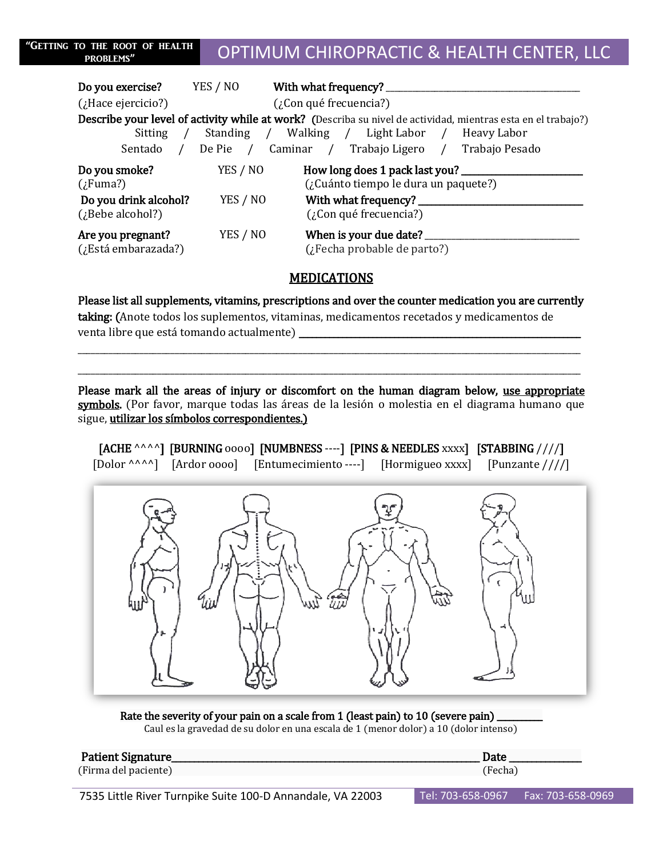| "GETTING TO THE ROOT OF HEALTH<br><b>PROBLEMS"</b> | OPTIMUM CHIROPRACTIC & HEALTH CENTER, LLC |
|----------------------------------------------------|-------------------------------------------|
|                                                    |                                           |

| <b>Do you exercise?</b> YES / NO          |                            | With what frequency?                                                                                          |  |
|-------------------------------------------|----------------------------|---------------------------------------------------------------------------------------------------------------|--|
| $($ ; Hace ejercicio?)                    | $(i)$ Con qué frecuencia?) |                                                                                                               |  |
|                                           |                            | Describe your level of activity while at work? (Describa su nivel de actividad, mientras esta en el trabajo?) |  |
| Sitting                                   |                            | Standing / Walking / Light Labor / Heavy Labor                                                                |  |
| Sentado                                   |                            | De Pie / Caminar / Trabajo Ligero / Trabajo Pesado                                                            |  |
| Do you smoke?<br>$(i$ Fuma?)              | YES / NO                   | How long does 1 pack last you?<br>(¿Cuánto tiempo le dura un paquete?)                                        |  |
| Do you drink alcohol?<br>(¿Bebe alcohol?) | YES / NO                   | With what frequency? _____________<br>$(i)$ Con qué frecuencia?)                                              |  |
| Are you pregnant?<br>(¿Está embarazada?)  | YES / NO                   | When is your due date? ______<br>(¿Fecha probable de parto?)                                                  |  |

### **MEDICATIONS**

Please list all supplements, vitamins, prescriptions and over the counter medication you are currently

\_\_\_\_\_\_\_\_\_\_\_\_\_\_\_\_\_\_\_\_\_\_\_\_\_\_\_\_\_\_\_\_\_\_\_\_\_\_\_\_\_\_\_\_\_\_\_\_\_\_\_\_\_\_\_\_\_\_\_\_\_\_\_\_\_\_\_\_\_\_\_\_\_\_\_\_\_\_\_\_\_\_\_\_\_\_\_\_\_\_\_\_\_\_\_\_\_\_\_\_\_\_\_\_\_\_\_\_\_\_\_\_\_\_ \_\_\_\_\_\_\_\_\_\_\_\_\_\_\_\_\_\_\_\_\_\_\_\_\_\_\_\_\_\_\_\_\_\_\_\_\_\_\_\_\_\_\_\_\_\_\_\_\_\_\_\_\_\_\_\_\_\_\_\_\_\_\_\_\_\_\_\_\_\_\_\_\_\_\_\_\_\_\_\_\_\_\_\_\_\_\_\_\_\_\_\_\_\_\_\_\_\_\_\_\_\_\_\_\_\_\_\_\_\_\_\_\_\_

taking: (Anote todos los suplementos, vitaminas, medicamentos recetados y medicamentos de venta libre que está tomando actualmente) \_\_\_\_\_\_\_\_\_\_\_\_\_\_\_\_\_\_\_\_\_\_\_\_\_\_\_\_\_\_\_\_\_\_\_\_\_\_\_\_\_\_\_\_\_\_\_\_\_\_\_\_\_\_\_\_\_\_\_\_\_\_\_\_\_

Please mark all the areas of injury or discomfort on the human diagram below, use appropriate symbols. (Por favor, marque todas las áreas de la lesión o molestia en el diagrama humano que sigue, utilizar los símbolos correspondientes.)

|  | [ACHE ^^^^] [BURNING 0000] [NUMBNESS ----] [PINS & NEEDLES $xxxx$ ] [STABBING ////] |  |
|--|-------------------------------------------------------------------------------------|--|
|  | [Dolor ^^^^] [Ardor oooo] [Entumecimiento ----] [Hormigueo xxxx] [Punzante ////]    |  |



Rate the severity of your pain on a scale from 1 (least pain) to 10 (severe pain)

Caul es la gravedad de su dolor en una escala de 1 (menor dolor) a 10 (dolor intenso)

#### Patient Signature\_\_\_\_\_\_\_\_\_\_\_\_\_\_\_\_\_\_\_\_\_\_\_\_\_\_\_\_\_\_\_\_\_\_\_\_\_\_\_\_\_\_\_\_\_\_\_\_\_\_\_\_\_\_\_\_\_\_\_\_\_\_\_\_\_\_\_\_ Date \_\_\_\_\_\_\_\_\_\_\_\_\_\_\_\_

(Firma del paciente) (Fecha)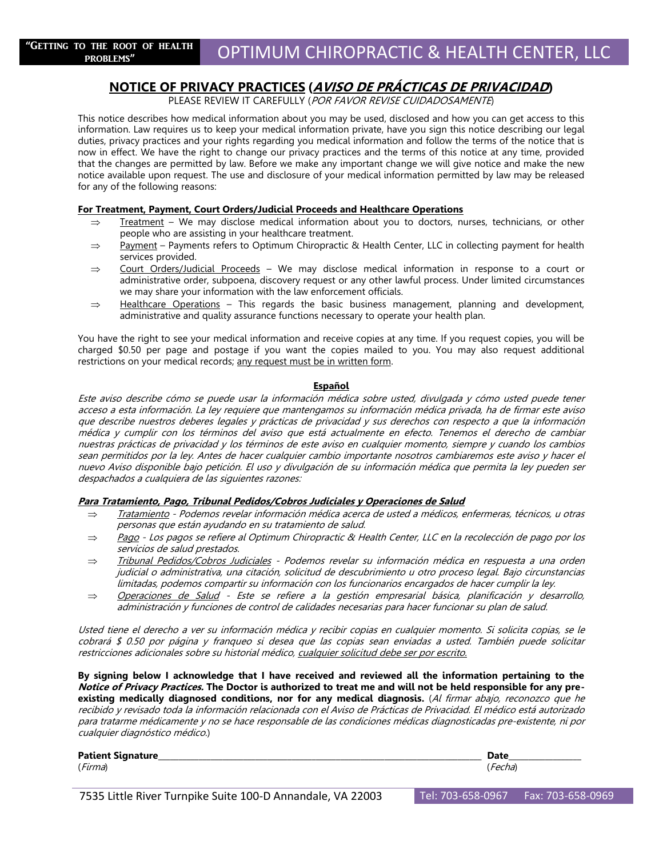### **NOTICE OF PRIVACY PRACTICES (AVISO DE PRÁCTICAS DE PRIVACIDAD)**

PLEASE REVIEW IT CAREFULLY (POR FAVOR REVISE CUIDADOSAMENTE)

This notice describes how medical information about you may be used, disclosed and how you can get access to this information. Law requires us to keep your medical information private, have you sign this notice describing our legal duties, privacy practices and your rights regarding you medical information and follow the terms of the notice that is now in effect. We have the right to change our privacy practices and the terms of this notice at any time, provided that the changes are permitted by law. Before we make any important change we will give notice and make the new notice available upon request. The use and disclosure of your medical information permitted by law may be released for any of the following reasons:

#### **For Treatment, Payment, Court Orders/Judicial Proceeds and Healthcare Operations**

- $\Rightarrow$  Treatment We may disclose medical information about you to doctors, nurses, technicians, or other people who are assisting in your healthcare treatment.
- $\Rightarrow$  Payment Payments refers to Optimum Chiropractic & Health Center, LLC in collecting payment for health services provided.
- $\Rightarrow$  Court Orders/Judicial Proceeds We may disclose medical information in response to a court or administrative order, subpoena, discovery request or any other lawful process. Under limited circumstances we may share your information with the law enforcement officials.
- $\Rightarrow$  Healthcare Operations This regards the basic business management, planning and development, administrative and quality assurance functions necessary to operate your health plan.

You have the right to see your medical information and receive copies at any time. If you request copies, you will be charged \$0.50 per page and postage if you want the copies mailed to you. You may also request additional restrictions on your medical records; any request must be in written form.

#### **Español**

Este aviso describe cómo se puede usar la información médica sobre usted, divulgada y cómo usted puede tener acceso a esta información. La ley requiere que mantengamos su información médica privada, ha de firmar este aviso que describe nuestros deberes legales y prácticas de privacidad y sus derechos con respecto a que la información médica y cumplir con los términos del aviso que está actualmente en efecto. Tenemos el derecho de cambiar nuestras prácticas de privacidad y los términos de este aviso en cualquier momento, siempre y cuando los cambios sean permitidos por la ley. Antes de hacer cualquier cambio importante nosotros cambiaremos este aviso y hacer el nuevo Aviso disponible bajo petición. El uso y divulgación de su información médica que permita la ley pueden ser despachados a cualquiera de las siguientes razones:

#### **Para Tratamiento, Pago, Tribunal Pedidos/Cobros Judiciales y Operaciones de Salud**

- Tratamiento Podemos revelar información médica acerca de usted a médicos, enfermeras, técnicos, u otras personas que están ayudando en su tratamiento de salud.
- $\Rightarrow$  Pago Los pagos se refiere al Optimum Chiropractic & Health Center, LLC en la recolección de pago por los servicios de salud prestados.
- $\Rightarrow$  Tribunal Pedidos/Cobros Judiciales Podemos revelar su información médica en respuesta a una orden judicial o administrativa, una citación, solicitud de descubrimiento u otro proceso legal. Bajo circunstancias limitadas, podemos compartir su información con los funcionarios encargados de hacer cumplir la ley.
- $\Rightarrow$  Operaciones de Salud Este se refiere a la gestión empresarial básica, planificación y desarrollo, administración y funciones de control de calidades necesarias para hacer funcionar su plan de salud.

Usted tiene el derecho a ver su información médica y recibir copias en cualquier momento. Si solicita copias, se le cobrará \$ 0.50 por página y franqueo si desea que las copias sean enviadas a usted. También puede solicitar restricciones adicionales sobre su historial médico, cualquier solicitud debe ser por escrito.

**By signing below I acknowledge that I have received and reviewed all the information pertaining to the Notice of Privacy Practices. The Doctor is authorized to treat me and will not be held responsible for any preexisting medically diagnosed conditions, nor for any medical diagnosis.** (Al firmar abajo, reconozco que he recibido y revisado toda la información relacionada con el Aviso de Prácticas de Privacidad. El médico está autorizado para tratarme médicamente y no se hace responsable de las condiciones médicas diagnosticadas pre-existente, ni por cualquier diagnóstico médico.)

| <b>Patient Signature</b><br>_____ |      |
|-----------------------------------|------|
| (Firma)                           | .Hd' |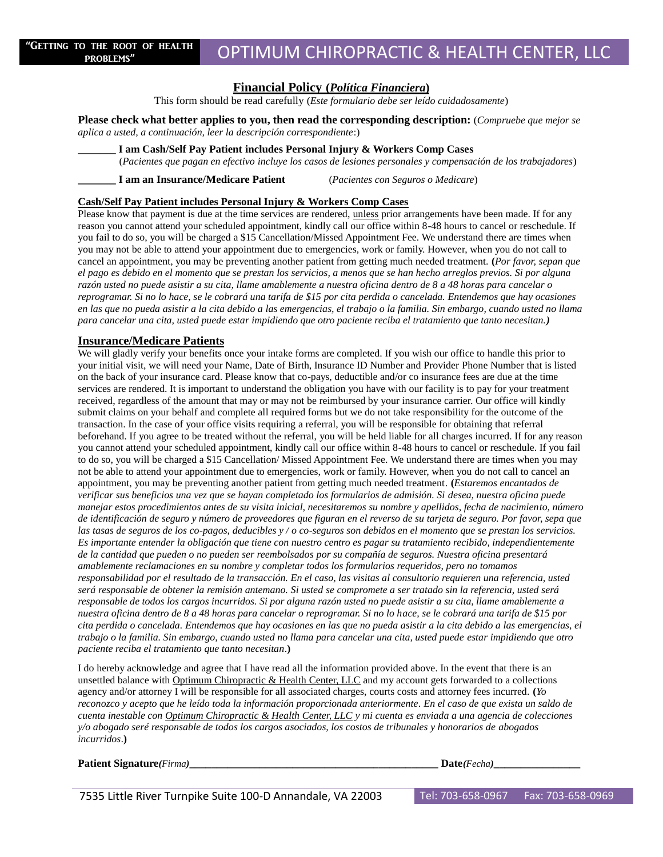#### **Financial Policy (***Política Financiera***)**

This form should be read carefully (*Este formulario debe ser leído cuidadosamente*)

**Please check what better applies to you, then read the corresponding description:** (*Compruebe que mejor se aplica a usted, a continuación, leer la descripción correspondiente*:)

**\_\_\_\_\_\_\_ I am Cash/Self Pay Patient includes Personal Injury & Workers Comp Cases** 

(*Pacientes que pagan en efectivo incluye los casos de lesiones personales y compensación de los trabajadores*)

**\_\_\_\_\_\_\_ I am an Insurance/Medicare Patient** (*Pacientes con Seguros o Medicare*)

### **Cash/Self Pay Patient includes Personal Injury & Workers Comp Cases**

Please know that payment is due at the time services are rendered, unless prior arrangements have been made. If for any reason you cannot attend your scheduled appointment, kindly call our office within 8-48 hours to cancel or reschedule. If you fail to do so, you will be charged a \$15 Cancellation/Missed Appointment Fee. We understand there are times when you may not be able to attend your appointment due to emergencies, work or family. However, when you do not call to cancel an appointment, you may be preventing another patient from getting much needed treatment. **(***Por favor, sepan que el pago es debido en el momento que se prestan los servicios, a menos que se han hecho arreglos previos. Si por alguna razón usted no puede asistir a su cita, llame amablemente a nuestra oficina dentro de 8 a 48 horas para cancelar o reprogramar. Si no lo hace, se le cobrará una tarifa de \$15 por cita perdida o cancelada. Entendemos que hay ocasiones en las que no pueda asistir a la cita debido a las emergencias, el trabajo o la familia. Sin embargo, cuando usted no llama para cancelar una cita, usted puede estar impidiendo que otro paciente reciba el tratamiento que tanto necesitan.)*

#### **Insurance/Medicare Patients**

We will gladly verify your benefits once your intake forms are completed. If you wish our office to handle this prior to your initial visit, we will need your Name, Date of Birth, Insurance ID Number and Provider Phone Number that is listed on the back of your insurance card. Please know that co-pays, deductible and/or co insurance fees are due at the time services are rendered. It is important to understand the obligation you have with our facility is to pay for your treatment received, regardless of the amount that may or may not be reimbursed by your insurance carrier. Our office will kindly submit claims on your behalf and complete all required forms but we do not take responsibility for the outcome of the transaction. In the case of your office visits requiring a referral, you will be responsible for obtaining that referral beforehand. If you agree to be treated without the referral, you will be held liable for all charges incurred. If for any reason you cannot attend your scheduled appointment, kindly call our office within 8-48 hours to cancel or reschedule. If you fail to do so, you will be charged a \$15 Cancellation/ Missed Appointment Fee. We understand there are times when you may not be able to attend your appointment due to emergencies, work or family. However, when you do not call to cancel an appointment, you may be preventing another patient from getting much needed treatment. **(***Estaremos encantados de verificar sus beneficios una vez que se hayan completado los formularios de admisión. Si desea, nuestra oficina puede manejar estos procedimientos antes de su visita inicial, necesitaremos su nombre y apellidos, fecha de nacimiento, número de identificación de seguro y número de proveedores que figuran en el reverso de su tarjeta de seguro. Por favor, sepa que las tasas de seguros de los co-pagos, deducibles y / o co-seguros son debidos en el momento que se prestan los servicios. Es importante entender la obligación que tiene con nuestro centro es pagar su tratamiento recibido, independientemente de la cantidad que pueden o no pueden ser reembolsados por su compañía de seguros. Nuestra oficina presentará amablemente reclamaciones en su nombre y completar todos los formularios requeridos, pero no tomamos responsabilidad por el resultado de la transacción. En el caso, las visitas al consultorio requieren una referencia, usted será responsable de obtener la remisión antemano. Si usted se compromete a ser tratado sin la referencia, usted será responsable de todos los cargos incurridos. Si por alguna razón usted no puede asistir a su cita, llame amablemente a nuestra oficina dentro de 8 a 48 horas para cancelar o reprogramar. Si no lo hace, se le cobrará una tarifa de \$15 por cita perdida o cancelada. Entendemos que hay ocasiones en las que no pueda asistir a la cita debido a las emergencias, el trabajo o la familia. Sin embargo, cuando usted no llama para cancelar una cita, usted puede estar impidiendo que otro paciente reciba el tratamiento que tanto necesitan*.**)**

I do hereby acknowledge and agree that I have read all the information provided above. In the event that there is an unsettled balance with Optimum Chiropractic & Health Center, LLC and my account gets forwarded to a collections agency and/or attorney I will be responsible for all associated charges, courts costs and attorney fees incurred. **(***Yo reconozco y acepto que he leído toda la información proporcionada anteriormente. En el caso de que exista un saldo de cuenta inestable con Optimum Chiropractic & Health Center, LLC y mi cuenta es enviada a una agencia de colecciones y/o abogado seré responsable de todos los cargos asociados, los costos de tribunales y honorarios de abogados incurridos*.**)**

**Patient Signature***(Firma)***\_\_\_\_\_\_\_\_\_\_\_\_\_\_\_\_\_\_\_\_\_\_\_\_\_\_\_\_\_\_\_\_\_\_\_\_\_\_\_\_\_\_\_\_\_\_ Date***(Fecha)***\_\_\_\_\_\_\_\_\_\_\_\_\_\_\_\_**

| <b>Date</b> (Fecha |  |
|--------------------|--|
|                    |  |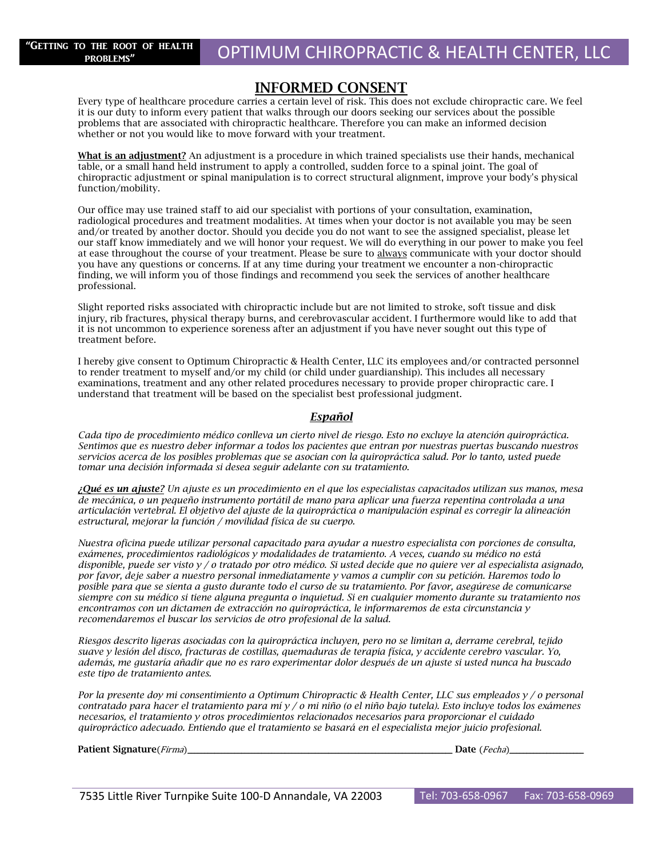### **INFORMED CONSENT**

Every type of healthcare procedure carries a certain level of risk. This does not exclude chiropractic care. We feel it is our duty to inform every patient that walks through our doors seeking our services about the possible problems that are associated with chiropractic healthcare. Therefore you can make an informed decision whether or not you would like to move forward with your treatment.

**What is an adjustment?** An adjustment is a procedure in which trained specialists use their hands, mechanical table, or a small hand held instrument to apply a controlled, sudden force to a spinal joint. The goal of chiropractic adjustment or spinal manipulation is to correct structural alignment, improve your body's physical function/mobility.

Our office may use trained staff to aid our specialist with portions of your consultation, examination, radiological procedures and treatment modalities. At times when your doctor is not available you may be seen and/or treated by another doctor. Should you decide you do not want to see the assigned specialist, please let our staff know immediately and we will honor your request. We will do everything in our power to make you feel at ease throughout the course of your treatment. Please be sure to always communicate with your doctor should you have any questions or concerns. If at any time during your treatment we encounter a non-chiropractic finding, we will inform you of those findings and recommend you seek the services of another healthcare professional.

Slight reported risks associated with chiropractic include but are not limited to stroke, soft tissue and disk injury, rib fractures, physical therapy burns, and cerebrovascular accident. I furthermore would like to add that it is not uncommon to experience soreness after an adjustment if you have never sought out this type of treatment before.

I hereby give consent to Optimum Chiropractic & Health Center, LLC its employees and/or contracted personnel to render treatment to myself and/or my child (or child under guardianship). This includes all necessary examinations, treatment and any other related procedures necessary to provide proper chiropractic care. I understand that treatment will be based on the specialist best professional judgment.

### *Español*

*Cada tipo de procedimiento médico conlleva un cierto nivel de riesgo. Esto no excluye la atención quiropráctica. Sentimos que es nuestro deber informar a todos los pacientes que entran por nuestras puertas buscando nuestros servicios acerca de los posibles problemas que se asocian con la quiropráctica salud. Por lo tanto, usted puede tomar una decisión informada si desea seguir adelante con su tratamiento.*

*¿Qué es un ajuste? Un ajuste es un procedimiento en el que los especialistas capacitados utilizan sus manos, mesa de mecánica, o un pequeño instrumento portátil de mano para aplicar una fuerza repentina controlada a una articulación vertebral. El objetivo del ajuste de la quiropráctica o manipulación espinal es corregir la alineación estructural, mejorar la función / movilidad física de su cuerpo.*

*Nuestra oficina puede utilizar personal capacitado para ayudar a nuestro especialista con porciones de consulta, exámenes, procedimientos radiológicos y modalidades de tratamiento. A veces, cuando su médico no está disponible, puede ser visto y / o tratado por otro médico. Si usted decide que no quiere ver al especialista asignado, por favor, deje saber a nuestro personal inmediatamente y vamos a cumplir con su petición. Haremos todo lo posible para que se sienta a gusto durante todo el curso de su tratamiento. Por favor, asegúrese de comunicarse siempre con su médico si tiene alguna pregunta o inquietud. Si en cualquier momento durante su tratamiento nos encontramos con un dictamen de extracción no quiropráctica, le informaremos de esta circunstancia y recomendaremos el buscar los servicios de otro profesional de la salud.*

*Riesgos descrito ligeras asociadas con la quiropráctica incluyen, pero no se limitan a, derrame cerebral, tejido suave y lesión del disco, fracturas de costillas, quemaduras de terapia física, y accidente cerebro vascular. Yo, además, me gustaría añadir que no es raro experimentar dolor después de un ajuste si usted nunca ha buscado este tipo de tratamiento antes.*

*Por la presente doy mi consentimiento a Optimum Chiropractic & Health Center, LLC sus empleados y / o personal contratado para hacer el tratamiento para mí y / o mi niño (o el niño bajo tutela). Esto incluye todos los exámenes necesarios, el tratamiento y otros procedimientos relacionados necesarios para proporcionar el cuidado quiropráctico adecuado. Entiendo que el tratamiento se basará en el especialista mejor juicio profesional.*

Patient Signature(Firma)\_

|  | Date (Fecha) |  |
|--|--------------|--|
|--|--------------|--|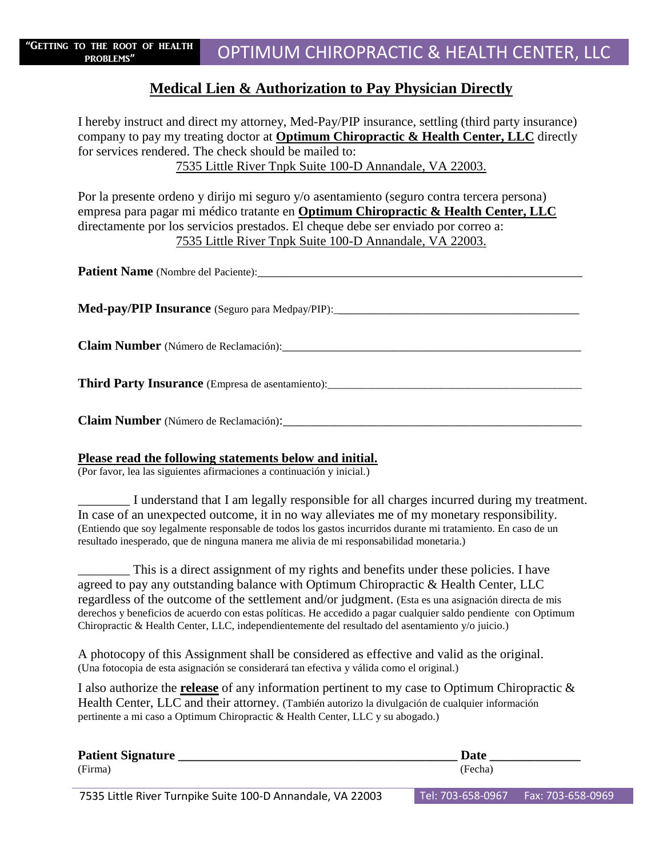### **Medical Lien & Authorization to Pay Physician Directly**

I hereby instruct and direct my attorney, Med-Pay/PIP insurance, settling (third party insurance) company to pay my treating doctor at **Optimum Chiropractic & Health Center, LLC** directly for services rendered. The check should be mailed to: 7535 Little River Tnpk Suite 100-D Annandale, VA 22003.

Por la presente ordeno y dirijo mi seguro y/o asentamiento (seguro contra tercera persona) empresa para pagar mi médico tratante en **Optimum Chiropractic & Health Center, LLC** directamente por los servicios prestados. El cheque debe ser enviado por correo a: 7535 Little River Tnpk Suite 100-D Annandale, VA 22003.

**Patient Name** (Nombre del Paciente):\_\_\_\_\_\_\_\_\_\_\_\_\_\_\_\_\_\_\_\_\_\_\_\_\_\_\_\_\_\_\_\_\_\_\_\_\_\_\_\_\_\_\_\_\_\_\_\_\_\_ Med-pay/PIP Insurance (Seguro para Medpay/PIP):\_\_\_\_\_\_\_\_\_\_\_\_\_\_\_\_\_\_\_\_\_\_\_\_\_\_\_\_\_\_\_\_\_\_ **Claim Number** (Número de Reclamación): **Third Party Insurance** (Empresa de asentamiento): **Claim Number** (Número de Reclamación):

### **Please read the following statements below and initial.**

(Por favor, lea las siguientes afirmaciones a continuación y inicial.)

\_\_\_\_\_\_\_\_ I understand that I am legally responsible for all charges incurred during my treatment. In case of an unexpected outcome, it in no way alleviates me of my monetary responsibility. (Entiendo que soy legalmente responsable de todos los gastos incurridos durante mi tratamiento. En caso de un resultado inesperado, que de ninguna manera me alivia de mi responsabilidad monetaria.)

\_\_\_\_\_\_\_\_ This is a direct assignment of my rights and benefits under these policies. I have agreed to pay any outstanding balance with Optimum Chiropractic & Health Center, LLC regardless of the outcome of the settlement and/or judgment. (Esta es una asignación directa de mis derechos y beneficios de acuerdo con estas políticas. He accedido a pagar cualquier saldo pendiente con Optimum Chiropractic & Health Center, LLC, independientemente del resultado del asentamiento y/o juicio.)

A photocopy of this Assignment shall be considered as effective and valid as the original. (Una fotocopia de esta asignación se considerará tan efectiva y válida como el original.)

I also authorize the **release** of any information pertinent to my case to Optimum Chiropractic & Health Center, LLC and their attorney. (También autorizo la divulgación de cualquier información pertinente a mi caso a Optimum Chiropractic & Health Center, LLC y su abogado.)

| <b>Patient Signature</b>                                   | Date              |                   |
|------------------------------------------------------------|-------------------|-------------------|
| (Firma)                                                    | (Fecha)           |                   |
| 7535 Little River Turnpike Suite 100-D Annandale, VA 22003 | Tel: 703-658-0967 | Fax: 703-658-0969 |